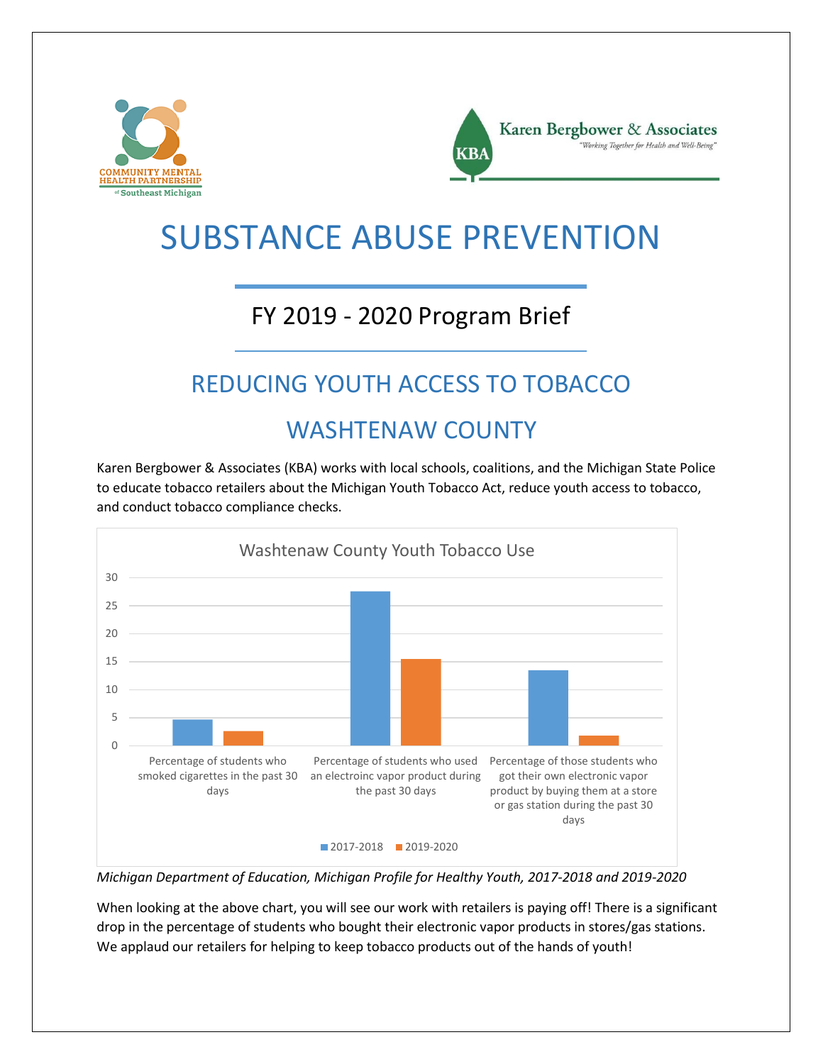



# SUBSTANCE ABUSE PREVENTION

### FY 2019 - 2020 Program Brief

## REDUCING YOUTH ACCESS TO TOBACCO

#### WASHTENAW COUNTY

Karen Bergbower & Associates (KBA) works with local schools, coalitions, and the Michigan State Police to educate tobacco retailers about the Michigan Youth Tobacco Act, reduce youth access to tobacco, and conduct tobacco compliance checks.



*Michigan Department of Education, Michigan Profile for Healthy Youth, 2017-2018 and 2019-2020*

When looking at the above chart, you will see our work with retailers is paying off! There is a significant drop in the percentage of students who bought their electronic vapor products in stores/gas stations. We applaud our retailers for helping to keep tobacco products out of the hands of youth!